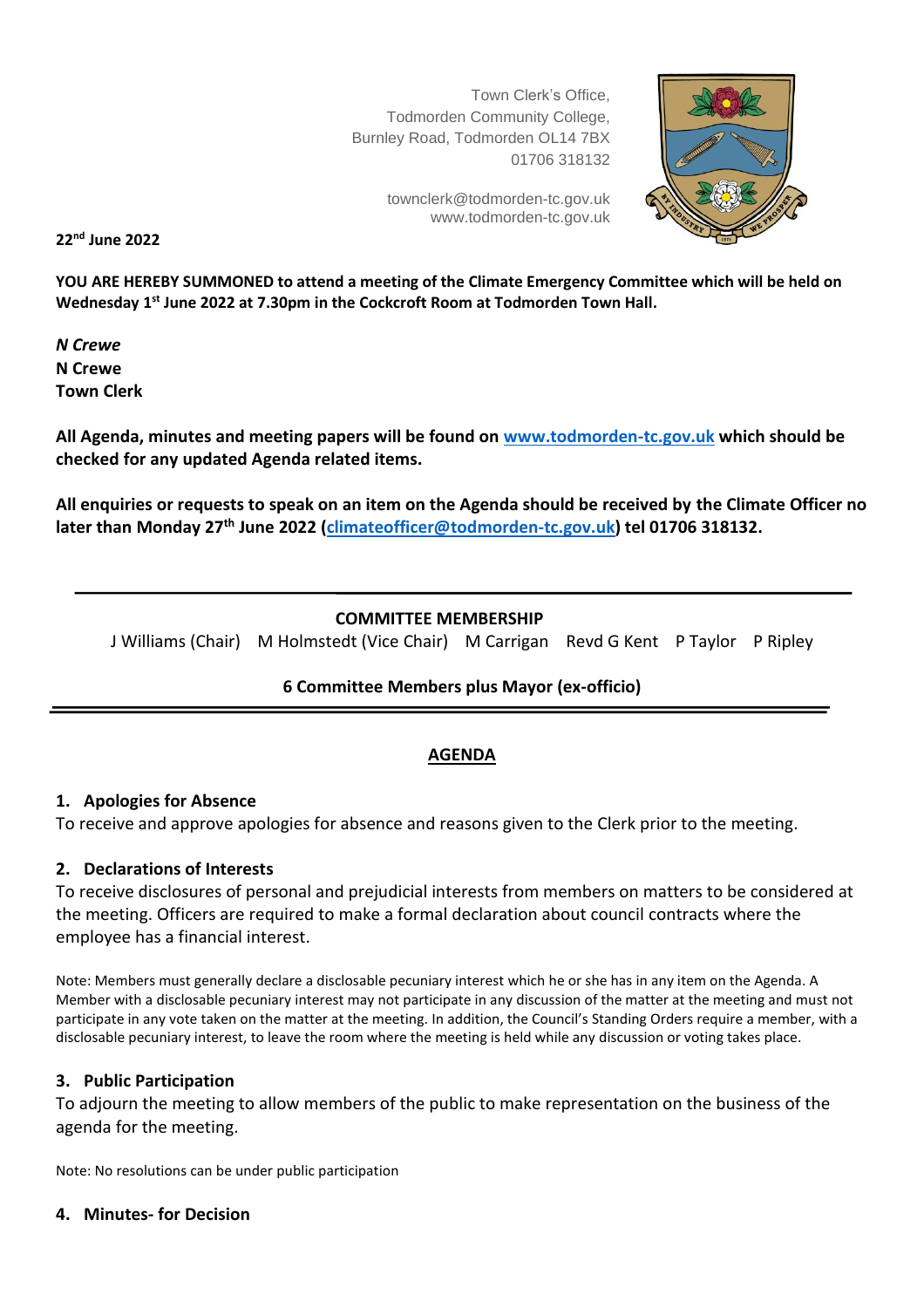Town Clerk's Office, Todmorden Community College, Burnley Road, Todmorden OL14 7BX 01706 318132

> [townclerk@todmorden-tc.gov.uk](mailto:townclerk@todmorden-tc.gov.uk) www.todmorden-tc.gov.uk



**22nd June 2022**

**YOU ARE HEREBY SUMMONED to attend a meeting of the Climate Emergency Committee which will be held on Wednesday 1 st June 2022 at 7.30pm in the Cockcroft Room at Todmorden Town Hall.**

*N Crewe* **N Crewe Town Clerk**

**All Agenda, minutes and meeting papers will be found on [www.todmorden-tc.gov.uk](http://www.todmorden-tc.gov.uk/) which should be checked for any updated Agenda related items.**

**All enquiries or requests to speak on an item on the Agenda should be received by the Climate Officer no later than Monday 27th June 2022 [\(climateofficer@todmorden-tc.gov.uk\)](mailto:climateofficer@todmorden-tc.gov.uk) tel 01706 318132.**

#### **COMMITTEE MEMBERSHIP**

J Williams (Chair) M Holmstedt (Vice Chair) M Carrigan Revd G Kent P Taylor P Ripley

## **6 Committee Members plus Mayor (ex-officio)**

#### **AGENDA**

#### **1. Apologies for Absence**

To receive and approve apologies for absence and reasons given to the Clerk prior to the meeting.

#### **2. Declarations of Interests**

To receive disclosures of personal and prejudicial interests from members on matters to be considered at the meeting. Officers are required to make a formal declaration about council contracts where the employee has a financial interest.

Note: Members must generally declare a disclosable pecuniary interest which he or she has in any item on the Agenda. A Member with a disclosable pecuniary interest may not participate in any discussion of the matter at the meeting and must not participate in any vote taken on the matter at the meeting. In addition, the Council's Standing Orders require a member, with a disclosable pecuniary interest, to leave the room where the meeting is held while any discussion or voting takes place.

#### **3. Public Participation**

To adjourn the meeting to allow members of the public to make representation on the business of the agenda for the meeting.

Note: No resolutions can be under public participation

#### **4. Minutes- for Decision**